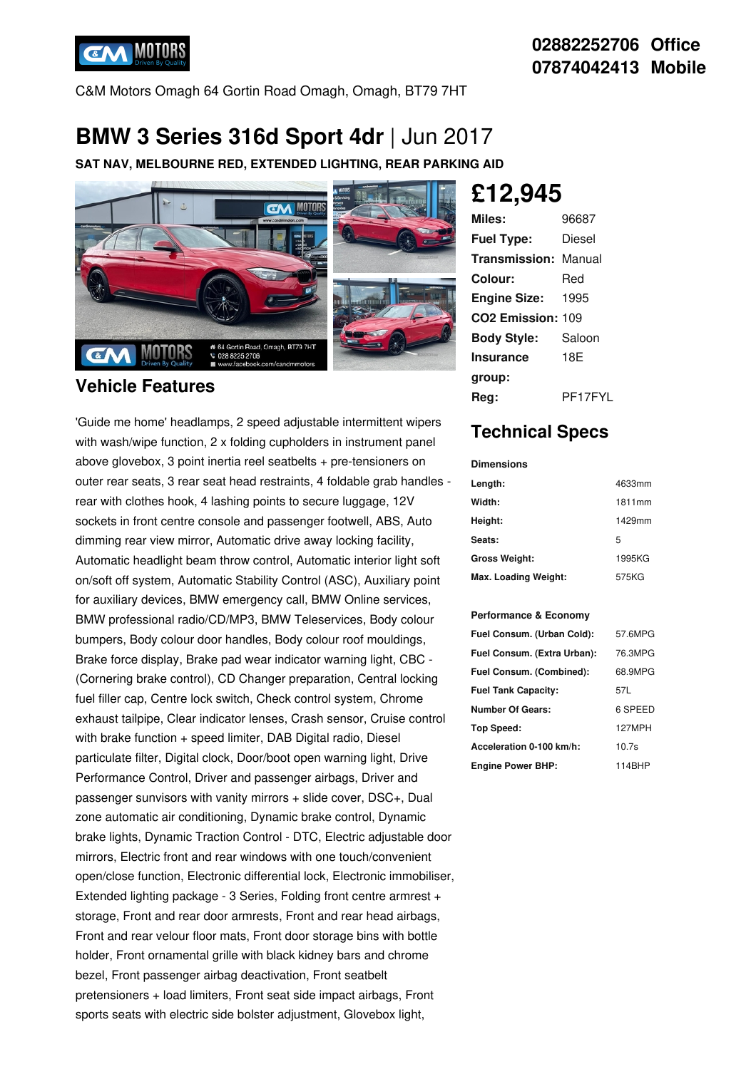

C&M Motors Omagh 64 Gortin Road Omagh, Omagh, BT79 7HT

## **BMW 3 Series 316d Sport 4dr** | Jun 2017

**SAT NAV, MELBOURNE RED, EXTENDED LIGHTING, REAR PARKING AID**



### **Vehicle Features**

'Guide me home' headlamps, 2 speed adjustable intermittent wipers with wash/wipe function, 2 x folding cupholders in instrument panel above glovebox, 3 point inertia reel seatbelts + pre-tensioners on outer rear seats, 3 rear seat head restraints, 4 foldable grab handles rear with clothes hook, 4 lashing points to secure luggage, 12V sockets in front centre console and passenger footwell, ABS, Auto dimming rear view mirror, Automatic drive away locking facility, Automatic headlight beam throw control, Automatic interior light soft on/soft off system, Automatic Stability Control (ASC), Auxiliary point for auxiliary devices, BMW emergency call, BMW Online services, BMW professional radio/CD/MP3, BMW Teleservices, Body colour bumpers, Body colour door handles, Body colour roof mouldings, Brake force display, Brake pad wear indicator warning light, CBC - (Cornering brake control), CD Changer preparation, Central locking fuel filler cap, Centre lock switch, Check control system, Chrome exhaust tailpipe, Clear indicator lenses, Crash sensor, Cruise control with brake function + speed limiter, DAB Digital radio, Diesel particulate filter, Digital clock, Door/boot open warning light, Drive Performance Control, Driver and passenger airbags, Driver and passenger sunvisors with vanity mirrors + slide cover, DSC+, Dual zone automatic air conditioning, Dynamic brake control, Dynamic brake lights, Dynamic Traction Control - DTC, Electric adjustable door mirrors, Electric front and rear windows with one touch/convenient open/close function, Electronic differential lock, Electronic immobiliser, Extended lighting package - 3 Series, Folding front centre armrest + storage, Front and rear door armrests, Front and rear head airbags, Front and rear velour floor mats, Front door storage bins with bottle holder, Front ornamental grille with black kidney bars and chrome bezel, Front passenger airbag deactivation, Front seatbelt pretensioners + load limiters, Front seat side impact airbags, Front sports seats with electric side bolster adjustment, Glovebox light,

# **£12,945**

| Miles:                        | 96687   |
|-------------------------------|---------|
| <b>Fuel Type:</b>             | Diesel  |
| Transmission:                 | Manual  |
| Colour:                       | Red     |
| <b>Engine Size:</b>           | 1995    |
| CO <sub>2</sub> Emission: 109 |         |
| <b>Body Style:</b>            | Saloon  |
| Insurance                     | 18F     |
| group:                        |         |
| Rea:                          | PF17FYL |

## **Technical Specs**

| Dimensions           |        |  |  |
|----------------------|--------|--|--|
| Length:              | 4633mm |  |  |
| Width:               | 1811mm |  |  |
| Height:              | 1429mm |  |  |
| Seats:               | 5      |  |  |
| Gross Weight:        | 1995KG |  |  |
| Max. Loading Weight: | 575KG  |  |  |

#### **Performance & Economy**

| Fuel Consum. (Urban Cold):  | 57.6MPG           |
|-----------------------------|-------------------|
| Fuel Consum. (Extra Urban): | 76.3MPG           |
| Fuel Consum. (Combined):    | 68.9MPG           |
| <b>Fuel Tank Capacity:</b>  | 57L               |
| <b>Number Of Gears:</b>     | 6 SPEED           |
| Top Speed:                  | 127MPH            |
| Acceleration 0-100 km/h:    | 10.7 <sub>s</sub> |
| <b>Engine Power BHP:</b>    | 114BHP            |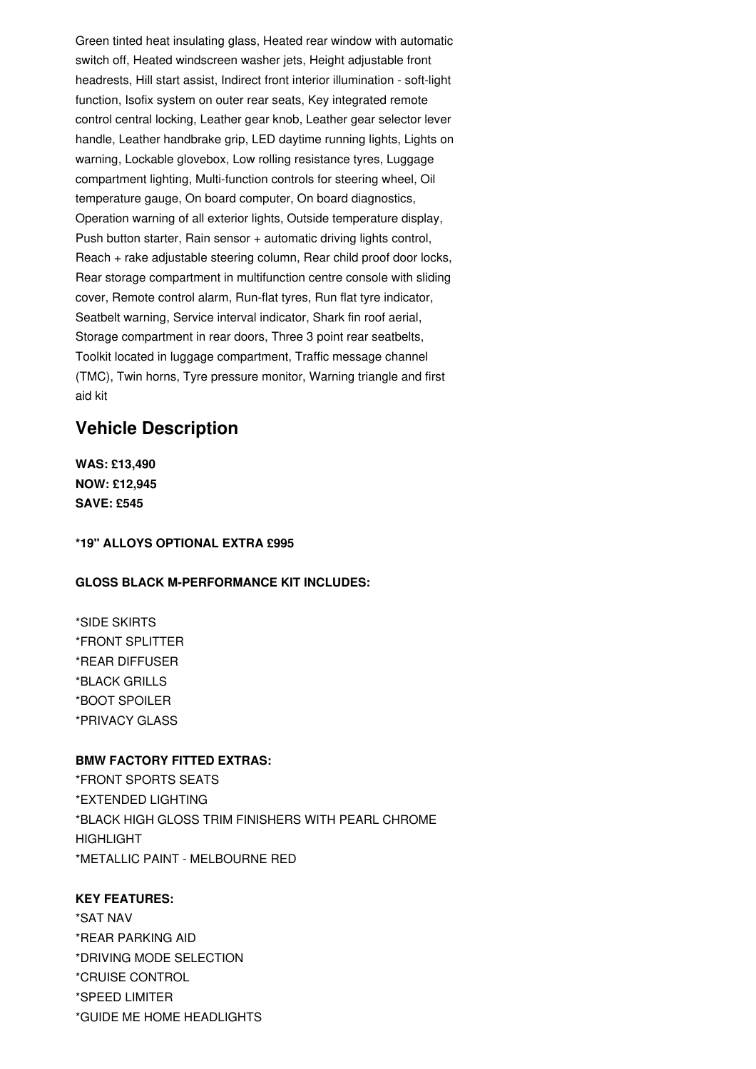Green tinted heat insulating glass, Heated rear window with automatic switch off, Heated windscreen washer jets, Height adjustable front headrests, Hill start assist, Indirect front interior illumination - soft-light function, Isofix system on outer rear seats, Key integrated remote control central locking, Leather gear knob, Leather gear selector lever handle, Leather handbrake grip, LED daytime running lights, Lights on warning, Lockable glovebox, Low rolling resistance tyres, Luggage compartment lighting, Multi-function controls for steering wheel, Oil temperature gauge, On board computer, On board diagnostics, Operation warning of all exterior lights, Outside temperature display, Push button starter, Rain sensor + automatic driving lights control, Reach + rake adjustable steering column, Rear child proof door locks, Rear storage compartment in multifunction centre console with sliding cover, Remote control alarm, Run-flat tyres, Run flat tyre indicator, Seatbelt warning, Service interval indicator, Shark fin roof aerial, Storage compartment in rear doors, Three 3 point rear seatbelts, Toolkit located in luggage compartment, Traffic message channel (TMC), Twin horns, Tyre pressure monitor, Warning triangle and first aid kit

## **Vehicle Description**

**WAS: £13,490 NOW: £12,945 SAVE: £545**

**\*19" ALLOYS OPTIONAL EXTRA £995**

#### **GLOSS BLACK M-PERFORMANCE KIT INCLUDES:**

\*SIDE SKIRTS \*FRONT SPLITTER \*REAR DIFFUSER \*BLACK GRILLS \*BOOT SPOILER \*PRIVACY GLASS

#### **BMW FACTORY FITTED EXTRAS:**

\*FRONT SPORTS SEATS \*EXTENDED LIGHTING \*BLACK HIGH GLOSS TRIM FINISHERS WITH PEARL CHROME **HIGHLIGHT** \*METALLIC PAINT - MELBOURNE RED

#### **KEY FEATURES:**

\*SAT NAV \*REAR PARKING AID \*DRIVING MODE SELECTION \*CRUISE CONTROL \*SPEED LIMITER \*GUIDE ME HOME HEADLIGHTS